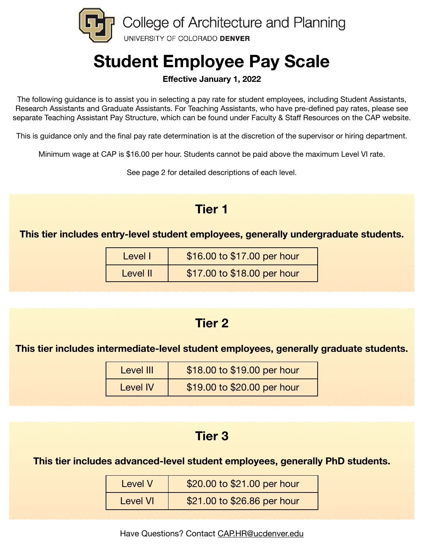

# **Student Employee Pay Scale**

#### **Effective January 1, 2022**

The following guidance is to assist you in selecting a pay rate for student employees, including Student Assistants, Research Assistants and Graduate Assistants. For Teaching Assistants, who have pre-defined pay rates, please see separate Teaching Assistant Pay Structure, which can be found under Faculty & Staff Resources on the CAP website.

This is guidance only and the final pay rate determination is at the discretion of the supervisor or hiring department.

Minimum wage at CAP is \$16.00 per hour. Students cannot be paid above the maximum Level VI rate.

See page 2 for detailed descriptions of each level.

## **Tier 1**

**This tier includes entry-level student employees, generally undergraduate students.** 

| Level I  | \$16.00 to \$17.00 per hour |
|----------|-----------------------------|
| Level II | \$17.00 to \$18.00 per hour |

## **Tier 2**

**This tier includes intermediate-level student employees, generally graduate students.** 

| Level III       | \$18.00 to \$19.00 per hour |
|-----------------|-----------------------------|
| <b>Level IV</b> | \$19.00 to \$20.00 per hour |

## **Tier 3**

**This tier includes advanced-level student employees, generally PhD students.** 

| Level V  | \$20.00 to \$21.00 per hour |
|----------|-----------------------------|
| Level VI | \$21.00 to \$26.86 per hour |

Have Questions? Contact [CAP.HR@ucdenver.edu](mailto:CAP.HR@ucdenver.edu)